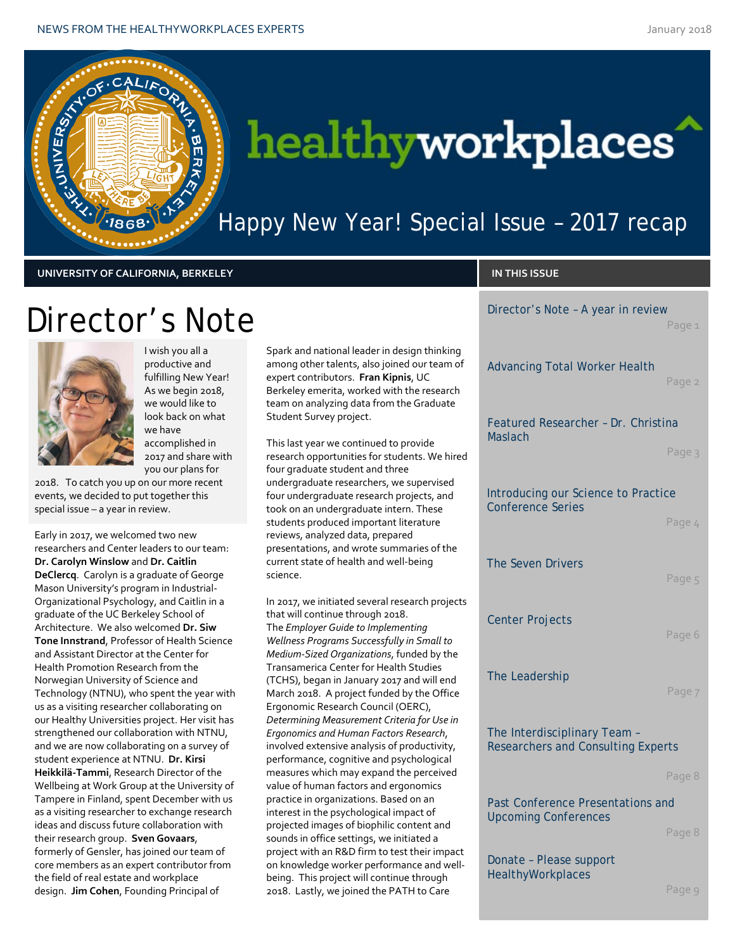

# healthyworkplaces

### Happy New Year! Special Issue - 2017 recap

**UNIVERSITY OF CALIFORNIA, BERKELEY IN THIS ISSUE**

Director's Note – A year in review

|                          |                                                                           | Page 1 |
|--------------------------|---------------------------------------------------------------------------|--------|
| king<br>m of             | <b>Advancing Total Worker Health</b>                                      | Page 2 |
| arch<br>ate              | Featured Researcher - Dr. Christina                                       |        |
| hired                    | <b>Maslach</b>                                                            | Page 3 |
| ed<br>nd                 | Introducing our Science to Practice<br><b>Conference Series</b>           |        |
|                          |                                                                           | Page 4 |
| the                      | The Seven Drivers                                                         | Page 5 |
| ojects                   | <b>Center Projects</b>                                                    | Page 6 |
| to<br>the                |                                                                           |        |
| nd!<br>fice              | The Leadership                                                            | Page 7 |
| e in<br>Ι,<br>ity,<br>al | The Interdisciplinary Team -<br><b>Researchers and Consulting Experts</b> |        |
| /ed                      |                                                                           | Page 8 |
| ıd                       | Past Conference Presentations and<br><b>Upcoming Conferences</b>          |        |
| pact                     |                                                                           | Page 8 |
| well-<br>h<br>é          | Donate - Please support<br><b>HealthyWorkplaces</b>                       | Page 9 |
|                          |                                                                           |        |

## Director's Note



I wish you all a productive and fulfilling New Year! As we begin 2018, we would like to look back on what we have accomplished in 2017 and share with you our plans for

2018. To catch you up on our more recent events, we decided to put together this special issue – a year in review.

Early in 2017, we welcomed two new researchers and Center leaders to our team: **Dr. Carolyn Winslow** and **Dr. Caitlin DeClercq**. Carolyn is a graduate of George Mason University's program in Industrial-Organizational Psychology, and Caitlin in a graduate of the UC Berkeley School of Architecture. We also welcomed **Dr. Siw Tone Innstrand**, Professor of Health Science and Assistant Director at the Center for Health Promotion Research from the Norwegian University of Science and Technology (NTNU), who spent the year with us as a visiting researcher collaborating on our Healthy Universities project. Her visit has strengthened our collaboration with NTNU, and we are now collaborating on a survey of student experience at NTNU. **Dr. Kirsi Heikkilä-Tammi**, Research Director of the Wellbeing at Work Group at the University of Tampere in Finland, spent December with us as a visiting researcher to exchange research ideas and discuss future collaboration with their research group. **Sven Govaars**, formerly of Gensler, has joined our team of core members as an expert contributor from the field of real estate and workplace design. **Jim Cohen**, Founding Principal of

Spark and national leader in design think among other talents, also joined our tear expert contributors. **Fran Kipnis**, UC Berkeley emerita, worked with the resea team on analyzing data from the Gradua Student Survey project.

This last year we continued to provide research opportunities for students. We four graduate student and three undergraduate researchers, we supervise four undergraduate research projects, ar took on an undergraduate intern. These students produced important literature reviews, analyzed data, prepared presentations, and wrote summaries of t current state of health and well-being science.

In 2017, we initiated several research pro that will continue through 2018. The *Employer Guide to Implementing Wellness Programs Successfully in Small Medium-Sized Organizations*, funded by Transamerica Center for Health Studies (TCHS), began in January 2017 and will e March 2018. A project funded by the Off Ergonomic Research Council (OERC), *Determining Measurement Criteria for Use in Ergonomics and Human Factors Research*, involved extensive analysis of productivit performance, cognitive and psychological measures which may expand the perceiv value of human factors and ergonomics practice in organizations. Based on an interest in the psychological impact of projected images of biophilic content an sounds in office settings, we initiated a project with an R&D firm to test their im on knowledge worker performance and being. This project will continue through 2018. Lastly, we joined the PATH to Care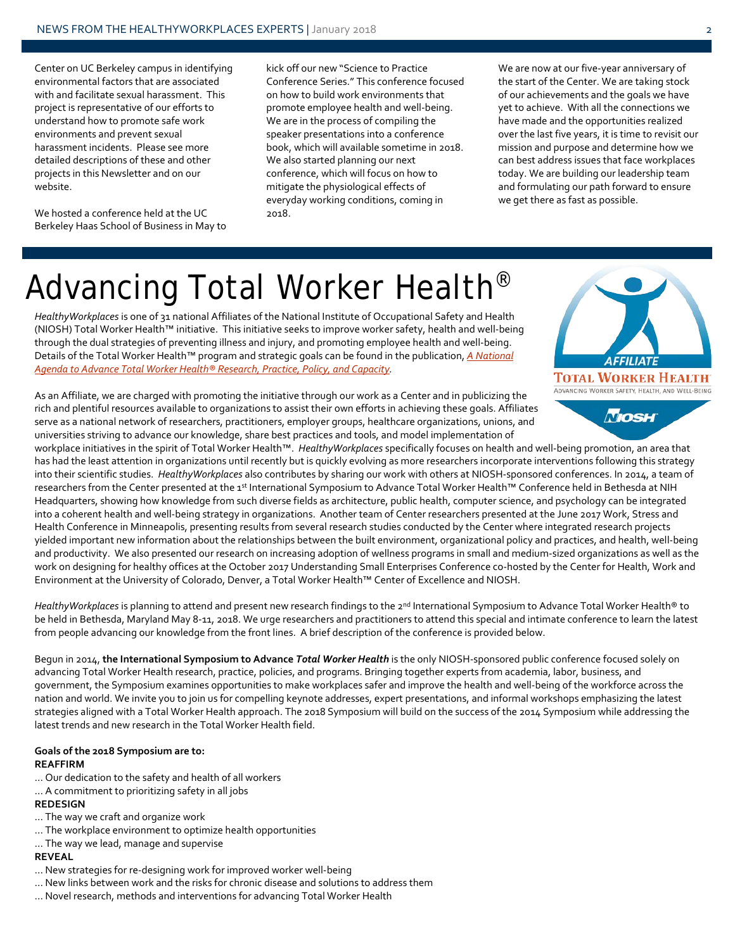Center on UC Berkeley campus in identifying environmental factors that are associated with and facilitate sexual harassment. This project is representative of our efforts to understand how to promote safe work environments and prevent sexual harassment incidents. Please see more detailed descriptions of these and other projects in this Newsletter and on our website.

We hosted a conference held at the UC Berkeley Haas School of Business in May to kick off our new "Science to Practice Conference Series." This conference focused on how to build work environments that promote employee health and well-being. We are in the process of compiling the speaker presentations into a conference book, which will available sometime in 2018. We also started planning our next conference, which will focus on how to mitigate the physiological effects of everyday working conditions, coming in 2018.

We are now at our five-year anniversary of the start of the Center. We are taking stock of our achievements and the goals we have yet to achieve. With all the connections we have made and the opportunities realized over the last five years, it is time to revisit our mission and purpose and determine how we can best address issues that face workplaces today. We are building our leadership team and formulating our path forward to ensure we get there as fast as possible.

# Advancing Total Worker Health<sup>®</sup>

*HealthyWorkplaces* is one of 31 national Affiliates of the National Institute of Occupational Safety and Health (NIOSH) Total Worker Health™ initiative. This initiative seeks to improve worker safety, health and well-being through the dual strategies of preventing illness and injury, and promoting employee health and well-being. Details of the Total Worker Health™ program and strategic goals can be found in the publication, *[A National](https://www.cdc.gov/niosh/docs/2016-114/pdfs/nationaltwhagenda2016-1144-14-16.pdf)  [Agenda to Advance Total Worker Health® Research, Practice, Policy, and Capacity.](https://www.cdc.gov/niosh/docs/2016-114/pdfs/nationaltwhagenda2016-1144-14-16.pdf)*



As an Affiliate, we are charged with promoting the initiative through our work as a Center and in publicizing the rich and plentiful resources available to organizations to assist their own efforts in achieving these goals. Affiliates serve as a national network of researchers, practitioners, employer groups, healthcare organizations, unions, and universities striving to advance our knowledge, share best practices and tools, and model implementation of

workplace initiatives in the spirit of Total Worker Health™. *HealthyWorkplaces* specifically focuses on health and well-being promotion, an area that has had the least attention in organizations until recently but is quickly evolving as more researchers incorporate interventions following this strategy into their scientific studies. *HealthyWorkplaces* also contributes by sharing our work with others at NIOSH-sponsored conferences. In 2014, a team of researchers from the Center presented at the 1<sup>st</sup> International Symposium to Advance Total Worker Health™ Conference held in Bethesda at NIH Headquarters, showing how knowledge from such diverse fields as architecture, public health, computer science, and psychology can be integrated into a coherent health and well-being strategy in organizations. Another team of Center researchers presented at the June 2017 Work, Stress and Health Conference in Minneapolis, presenting results from several research studies conducted by the Center where integrated research projects yielded important new information about the relationships between the built environment, organizational policy and practices, and health, well-being and productivity. We also presented our research on increasing adoption of wellness programs in small and medium-sized organizations as well as the work on designing for healthy offices at the October 2017 Understanding Small Enterprises Conference co-hosted by the Center for Health, Work and Environment at the University of Colorado, Denver, a Total Worker Health™ Center of Excellence and NIOSH.

HealthyWorkplaces is planning to attend and present new research findings to the 2<sup>nd</sup> International Symposium to Advance Total Worker Health® to be held in Bethesda, Maryland May 8-11, 2018. We urge researchers and practitioners to attend this special and intimate conference to learn the latest from people advancing our knowledge from the front lines. A brief description of the conference is provided below.

Begun in 2014, **the International Symposium to Advance** *Total Worker Health* is the only NIOSH-sponsored public conference focused solely on advancing Total Worker Health research, practice, policies, and programs. Bringing together experts from academia, labor, business, and government, the Symposium examines opportunities to make workplaces safer and improve the health and well-being of the workforce across the nation and world. We invite you to join us for compelling keynote addresses, expert presentations, and informal workshops emphasizing the latest strategies aligned with a Total Worker Health approach. The 2018 Symposium will build on the success of the 2014 Symposium while addressing the latest trends and new research in the Total Worker Health field.

#### **Goals of the 2018 Symposium are to: REAFFIRM**

- … Our dedication to the safety and health of all workers
- … A commitment to prioritizing safety in all jobs

#### **REDESIGN**

- … The way we craft and organize work
- … The workplace environment to optimize health opportunities
- … The way we lead, manage and supervise

#### **REVEAL**

- … New strategies for re-designing work for improved worker well-being
- … New links between work and the risks for chronic disease and solutions to address them
- … Novel research, methods and interventions for advancing Total Worker Health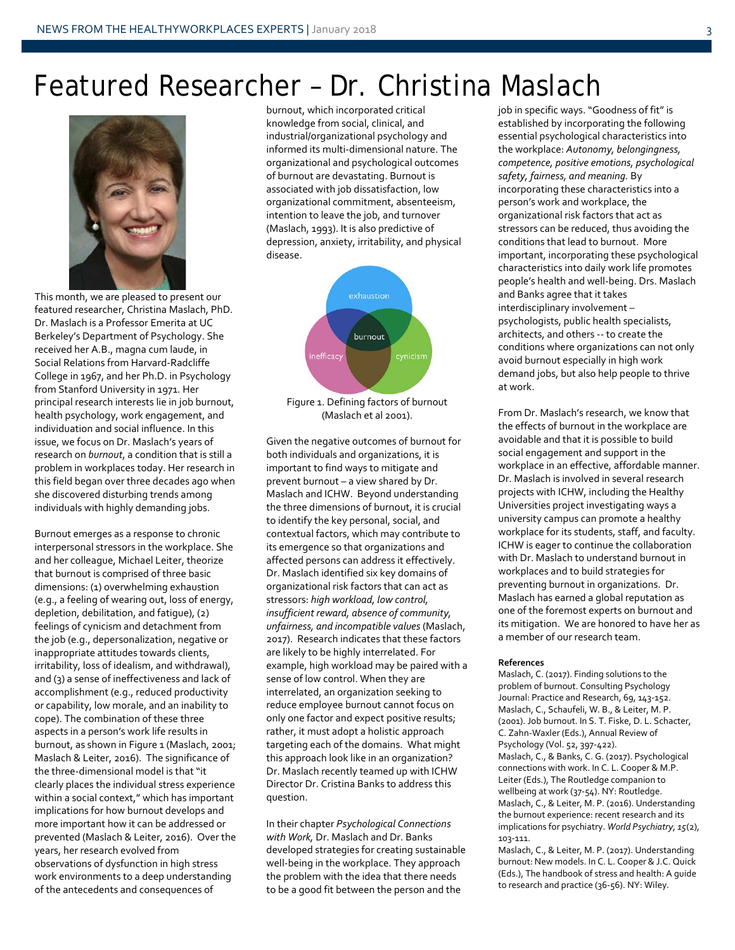### Featured Researcher – Dr. Christina Maslach



This month, we are pleased to present our featured researcher, Christina Maslach, PhD. Dr. Maslach is a Professor Emerita at UC Berkeley's Department of Psychology. She received her A.B., magna cum laude, in Social Relations from Harvard-Radcliffe College in 1967, and her Ph.D. in Psychology from Stanford University in 1971. Her principal research interests lie in job burnout, health psychology, work engagement, and individuation and social influence. In this issue, we focus on Dr. Maslach's years of research on *burnout*, a condition that is still a problem in workplaces today. Her research in this field began over three decades ago when she discovered disturbing trends among individuals with highly demanding jobs.

Burnout emerges as a response to chronic interpersonal stressors in the workplace. She and her colleague, Michael Leiter, theorize that burnout is comprised of three basic dimensions: (1) overwhelming exhaustion (e.g., a feeling of wearing out, loss of energy, depletion, debilitation, and fatigue), (2) feelings of cynicism and detachment from the job (e.g., depersonalization, negative or inappropriate attitudes towards clients, irritability, loss of idealism, and withdrawal), and (3) a sense of ineffectiveness and lack of accomplishment (e.g., reduced productivity or capability, low morale, and an inability to cope). The combination of these three aspects in a person's work life results in burnout, as shown in Figure 1 (Maslach, 2001; Maslach & Leiter, 2016). The significance of the three-dimensional model is that "it clearly places the individual stress experience within a social context," which has important implications for how burnout develops and more important how it can be addressed or prevented (Maslach & Leiter, 2016). Over the years, her research evolved from observations of dysfunction in high stress work environments to a deep understanding of the antecedents and consequences of

burnout, which incorporated critical knowledge from social, clinical, and industrial/organizational psychology and informed its multi-dimensional nature. The organizational and psychological outcomes of burnout are devastating. Burnout is associated with job dissatisfaction, low organizational commitment, absenteeism, intention to leave the job, and turnover (Maslach, 1993). It is also predictive of depression, anxiety, irritability, and physical disease.



Figure 1. Defining factors of burnout (Maslach et al 2001).

Given the negative outcomes of burnout for both individuals and organizations, it is important to find ways to mitigate and prevent burnout – a view shared by Dr. Maslach and ICHW. Beyond understanding the three dimensions of burnout, it is crucial to identify the key personal, social, and contextual factors, which may contribute to its emergence so that organizations and affected persons can address it effectively. Dr. Maslach identified six key domains of organizational risk factors that can act as stressors: *high workload, low control, insufficient reward, absence of community, unfairness, and incompatible values* (Maslach, 2017). Research indicates that these factors are likely to be highly interrelated. For example, high workload may be paired with a sense of low control. When they are interrelated, an organization seeking to reduce employee burnout cannot focus on only one factor and expect positive results; rather, it must adopt a holistic approach targeting each of the domains. What might this approach look like in an organization? Dr. Maslach recently teamed up with ICHW Director Dr. Cristina Banks to address this question.

In their chapter *Psychological Connections with Work,* Dr. Maslach and Dr. Banks developed strategies for creating sustainable well-being in the workplace. They approach the problem with the idea that there needs to be a good fit between the person and the

job in specific ways. "Goodness of fit" is established by incorporating the following essential psychological characteristics into the workplace: *Autonomy, belongingness, competence, positive emotions, psychological safety, fairness, and meaning.* By incorporating these characteristics into a person's work and workplace, the organizational risk factors that act as stressors can be reduced, thus avoiding the conditions that lead to burnout. More important, incorporating these psychological characteristics into daily work life promotes people's health and well-being. Drs. Maslach and Banks agree that it takes interdisciplinary involvement – psychologists, public health specialists, architects, and others -- to create the conditions where organizations can not only avoid burnout especially in high work demand jobs, but also help people to thrive at work.

From Dr. Maslach's research, we know that the effects of burnout in the workplace are avoidable and that it is possible to build social engagement and support in the workplace in an effective, affordable manner. Dr. Maslach is involved in several research projects with ICHW, including the Healthy Universities project investigating ways a university campus can promote a healthy workplace for its students, staff, and faculty. ICHW is eager to continue the collaboration with Dr. Maslach to understand burnout in workplaces and to build strategies for preventing burnout in organizations. Dr. Maslach has earned a global reputation as one of the foremost experts on burnout and its mitigation. We are honored to have her as a member of our research team.

#### **References**

Maslach, C. (2017). Finding solutions to the problem of burnout. Consulting Psychology Journal: Practice and Research, 69, 143-152. Maslach, C., Schaufeli, W. B., & Leiter, M. P. (2001). Job burnout. In S. T. Fiske, D. L. Schacter, C. Zahn-Waxler (Eds.), Annual Review of Psychology (Vol. 52, 397-422). Maslach, C., & Banks, C. G. (2017). Psychological connections with work. In C. L. Cooper & M.P. Leiter (Eds.), The Routledge companion to wellbeing at work (37-54). NY: Routledge. Maslach, C., & Leiter, M. P. (2016). Understanding the burnout experience: recent research and its implications for psychiatry. *World Psychiatry*, *15*(2), 103-111.

Maslach, C., & Leiter, M. P. (2017). Understanding burnout: New models. In C. L. Cooper & J.C. Quick (Eds.), The handbook of stress and health: A guide to research and practice (36-56). NY: Wiley.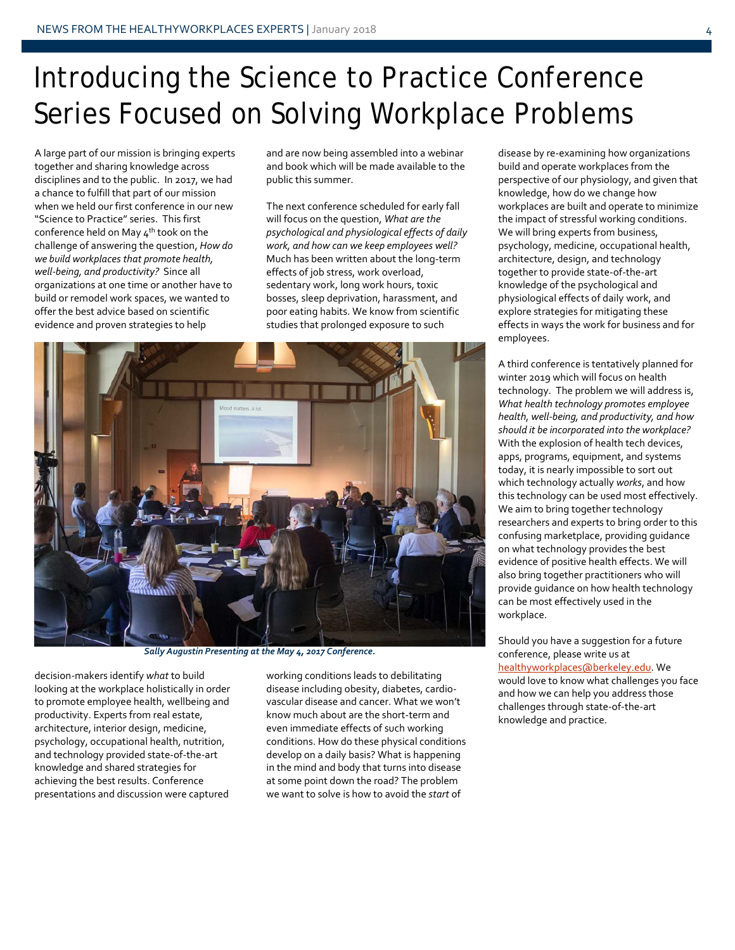## Introducing the Science to Practice Conference Series Focused on Solving Workplace Problems

A large part of our mission is bringing experts together and sharing knowledge across disciplines and to the public. In 2017, we had a chance to fulfill that part of our mission when we held our first conference in our new "Science to Practice" series. This first conference held on May  $4<sup>th</sup>$  took on the challenge of answering the question, *How do we build workplaces that promote health, well-being, and productivity?* Since all organizations at one time or another have to build or remodel work spaces, we wanted to offer the best advice based on scientific evidence and proven strategies to help

and are now being assembled into a webinar and book which will be made available to the public this summer.

The next conference scheduled for early fall will focus on the question, *What are the psychological and physiological effects of daily work, and how can we keep employees well?*  Much has been written about the long-term effects of job stress, work overload, sedentary work, long work hours, toxic bosses, sleep deprivation, harassment, and poor eating habits. We know from scientific studies that prolonged exposure to such



*Sally Augustin Presenting at the May 4, 2017 Conference.*

decision-makers identify *what* to build looking at the workplace holistically in order to promote employee health, wellbeing and productivity. Experts from real estate, architecture, interior design, medicine, psychology, occupational health, nutrition, and technology provided state-of-the-art knowledge and shared strategies for achieving the best results. Conference presentations and discussion were captured

working conditions leads to debilitating disease including obesity, diabetes, cardiovascular disease and cancer. What we won't know much about are the short-term and even immediate effects of such working conditions. How do these physical conditions develop on a daily basis? What is happening in the mind and body that turns into disease at some point down the road? The problem we want to solve is how to avoid the *start* of

disease by re-examining how organizations build and operate workplaces from the perspective of our physiology, and given that knowledge, how do we change how workplaces are built and operate to minimize the impact of stressful working conditions. We will bring experts from business, psychology, medicine, occupational health, architecture, design, and technology together to provide state-of-the-art knowledge of the psychological and physiological effects of daily work, and explore strategies for mitigating these effects in ways the work for business and for employees.

A third conference is tentatively planned for winter 2019 which will focus on health technology. The problem we will address is, *What health technology promotes employee health, well-being, and productivity, and how should it be incorporated into the workplace?* With the explosion of health tech devices, apps, programs, equipment, and systems today, it is nearly impossible to sort out which technology actually *works*, and how this technology can be used most effectively. We aim to bring together technology researchers and experts to bring order to this confusing marketplace, providing guidance on what technology provides the best evidence of positive health effects. We will also bring together practitioners who will provide guidance on how health technology can be most effectively used in the workplace.

Should you have a suggestion for a future conference, please write us at [healthyworkplaces@berkeley.edu.](mailto:healthyworkplaces@berkeley.edu) We would love to know what challenges you face and how we can help you address those challenges through state-of-the-art knowledge and practice.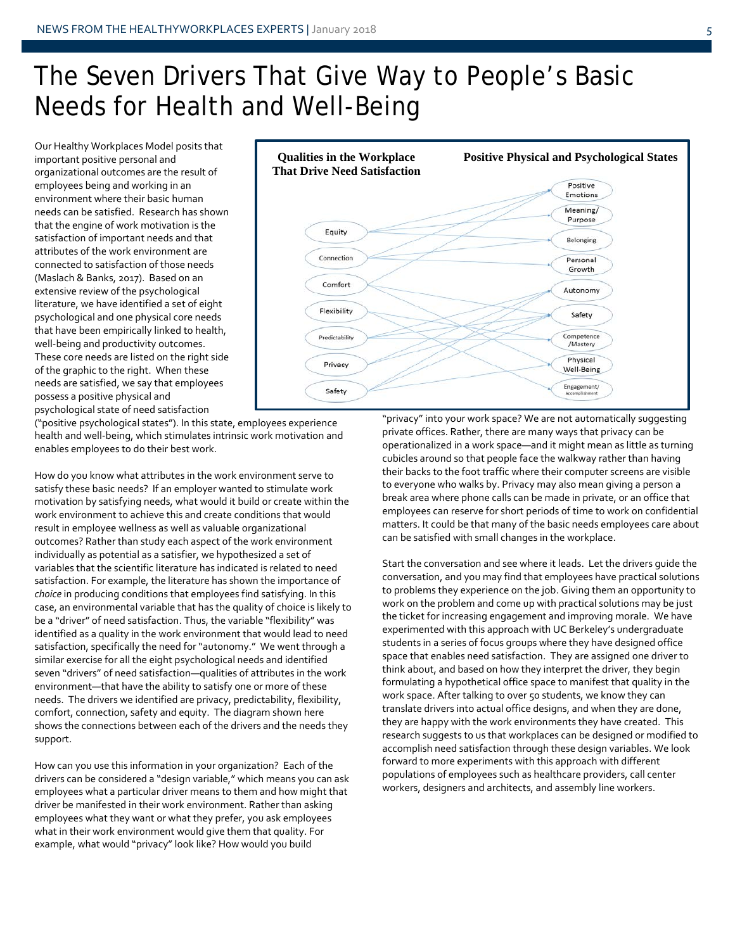### The Seven Drivers That Give Way to People's Basic Needs for Health and Well-Being

Our Healthy Workplaces Model posits that important positive personal and organizational outcomes are the result of employees being and working in an environment where their basic human needs can be satisfied. Research has shown that the engine of work motivation is the satisfaction of important needs and that attributes of the work environment are connected to satisfaction of those needs (Maslach & Banks, 2017). Based on an extensive review of the psychological literature, we have identified a set of eight psychological and one physical core needs that have been empirically linked to health, well-being and productivity outcomes. These core needs are listed on the right side of the graphic to the right. When these needs are satisfied, we say that employees possess a positive physical and psychological state of need satisfaction



("positive psychological states"). In this state, employees experience health and well-being, which stimulates intrinsic work motivation and enables employees to do their best work.

How do you know what attributes in the work environment serve to satisfy these basic needs? If an employer wanted to stimulate work motivation by satisfying needs, what would it build or create within the work environment to achieve this and create conditions that would result in employee wellness as well as valuable organizational outcomes? Rather than study each aspect of the work environment individually as potential as a satisfier, we hypothesized a set of variables that the scientific literature has indicated is related to need satisfaction. For example, the literature has shown the importance of *choice* in producing conditions that employees find satisfying. In this case, an environmental variable that has the quality of choice is likely to be a "driver" of need satisfaction. Thus, the variable "flexibility" was identified as a quality in the work environment that would lead to need satisfaction, specifically the need for "autonomy." We went through a similar exercise for all the eight psychological needs and identified seven "drivers" of need satisfaction—qualities of attributes in the work environment—that have the ability to satisfy one or more of these needs. The drivers we identified are privacy, predictability, flexibility, comfort, connection, safety and equity. The diagram shown here shows the connections between each of the drivers and the needs they support.

How can you use this information in your organization? Each of the drivers can be considered a "design variable," which means you can ask employees what a particular driver means to them and how might that driver be manifested in their work environment. Rather than asking employees what they want or what they prefer, you ask employees what in their work environment would give them that quality. For example, what would "privacy" look like? How would you build

"privacy" into your work space? We are not automatically suggesting private offices. Rather, there are many ways that privacy can be operationalized in a work space—and it might mean as little as turning cubicles around so that people face the walkway rather than having their backs to the foot traffic where their computer screens are visible to everyone who walks by. Privacy may also mean giving a person a break area where phone calls can be made in private, or an office that employees can reserve for short periods of time to work on confidential matters. It could be that many of the basic needs employees care about can be satisfied with small changes in the workplace.

Start the conversation and see where it leads. Let the drivers guide the conversation, and you may find that employees have practical solutions to problems they experience on the job. Giving them an opportunity to work on the problem and come up with practical solutions may be just the ticket for increasing engagement and improving morale. We have experimented with this approach with UC Berkeley's undergraduate students in a series of focus groups where they have designed office space that enables need satisfaction. They are assigned one driver to think about, and based on how they interpret the driver, they begin formulating a hypothetical office space to manifest that quality in the work space. After talking to over 50 students, we know they can translate drivers into actual office designs, and when they are done, they are happy with the work environments they have created. This research suggests to us that workplaces can be designed or modified to accomplish need satisfaction through these design variables. We look forward to more experiments with this approach with different populations of employees such as healthcare providers, call center workers, designers and architects, and assembly line workers.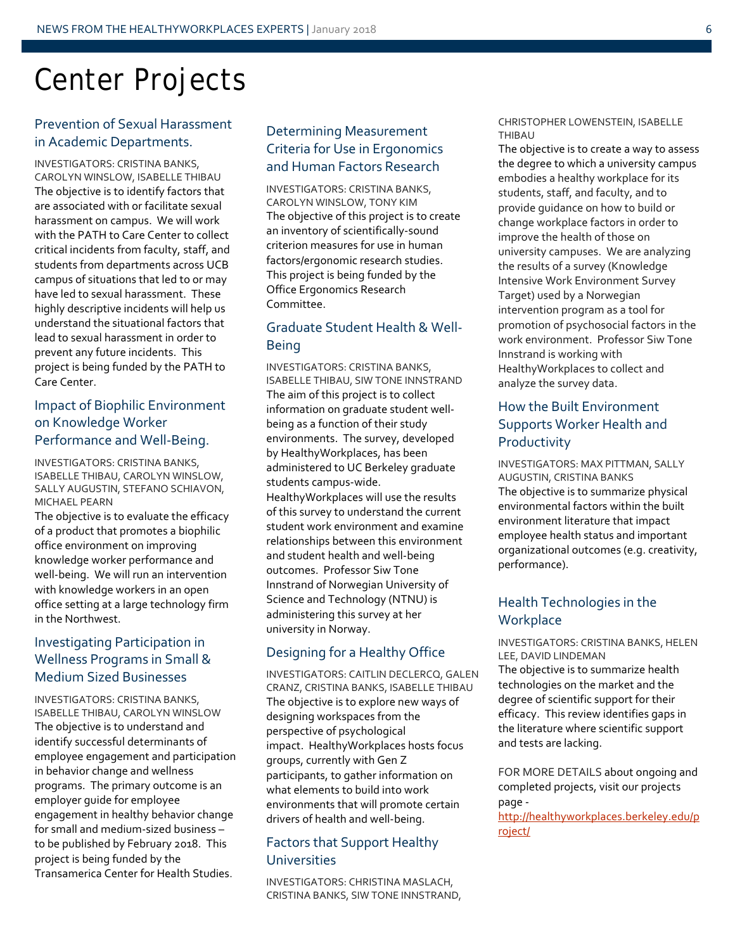## Center Projects

#### Prevention of Sexual Harassment in Academic Departments.

INVESTIGATORS: CRISTINA BANKS, CAROLYN WINSLOW, ISABELLE THIBAU The objective is to identify factors that are associated with or facilitate sexual harassment on campus. We will work with the PATH to Care Center to collect critical incidents from faculty, staff, and students from departments across UCB campus of situations that led to or may have led to sexual harassment. These highly descriptive incidents will help us understand the situational factors that lead to sexual harassment in order to prevent any future incidents. This project is being funded by the PATH to Care Center.

#### Impact of Biophilic Environment on Knowledge Worker Performance and Well-Being.

INVESTIGATORS: CRISTINA BANKS, ISABELLE THIBAU, CAROLYN WINSLOW, SALLY AUGUSTIN, STEFANO SCHIAVON, MICHAEL PEARN

The objective is to evaluate the efficacy of a product that promotes a biophilic office environment on improving knowledge worker performance and well-being. We will run an intervention with knowledge workers in an open office setting at a large technology firm in the Northwest.

#### Investigating Participation in Wellness Programs in Small & Medium Sized Businesses

INVESTIGATORS: CRISTINA BANKS, ISABELLE THIBAU, CAROLYN WINSLOW The objective is to understand and identify successful determinants of employee engagement and participation in behavior change and wellness programs. The primary outcome is an employer guide for employee engagement in healthy behavior change for small and medium-sized business – to be published by February 2018. This project is being funded by the Transamerica Center for Health Studies.

#### Determining Measurement Criteria for Use in Ergonomics and Human Factors Research

INVESTIGATORS: CRISTINA BANKS, CAROLYN WINSLOW, TONY KIM The objective of this project is to create an inventory of scientifically-sound criterion measures for use in human factors/ergonomic research studies. This project is being funded by the Office Ergonomics Research Committee.

#### Graduate Student Health & Well-Being

INVESTIGATORS: CRISTINA BANKS, ISABELLE THIBAU, SIW TONE INNSTRAND The aim of this project is to collect information on graduate student wellbeing as a function of their study environments. The survey, developed by HealthyWorkplaces, has been administered to UC Berkeley graduate students campus-wide. HealthyWorkplaces will use the results of this survey to understand the current student work environment and examine relationships between this environment and student health and well-being outcomes. Professor Siw Tone Innstrand of Norwegian University of Science and Technology (NTNU) is administering this survey at her university in Norway.

#### Designing for a Healthy Office

INVESTIGATORS: CAITLIN DECLERCQ, GALEN CRANZ, CRISTINA BANKS, ISABELLE THIBAU The objective is to explore new ways of designing workspaces from the perspective of psychological impact. HealthyWorkplaces hosts focus groups, currently with Gen Z participants, to gather information on what elements to build into work environments that will promote certain drivers of health and well-being.

#### Factors that Support Healthy Universities

INVESTIGATORS: CHRISTINA MASLACH, CRISTINA BANKS, SIW TONE INNSTRAND,

#### CHRISTOPHER LOWENSTEIN, ISABELLE THIBAU

The objective is to create a way to assess the degree to which a university campus embodies a healthy workplace for its students, staff, and faculty, and to provide guidance on how to build or change workplace factors in order to improve the health of those on university campuses. We are analyzing the results of a survey (Knowledge Intensive Work Environment Survey Target) used by a Norwegian intervention program as a tool for promotion of psychosocial factors in the work environment. Professor Siw Tone Innstrand is working with HealthyWorkplaces to collect and analyze the survey data.

#### How the Built Environment Supports Worker Health and Productivity

INVESTIGATORS: MAX PITTMAN, SALLY AUGUSTIN, CRISTINA BANKS The objective is to summarize physical environmental factors within the built environment literature that impact employee health status and important organizational outcomes (e.g. creativity, performance).

### Health Technologies in the **Workplace**

INVESTIGATORS: CRISTINA BANKS, HELEN LEE, DAVID LINDEMAN The objective is to summarize health technologies on the market and the degree of scientific support for their efficacy. This review identifies gaps in the literature where scientific support and tests are lacking.

FOR MORE DETAILS about ongoing and completed projects, visit our projects page -

[http://healthyworkplaces.berkeley.edu/p](http://healthyworkplaces.berkeley.edu/project/) [roject/](http://healthyworkplaces.berkeley.edu/project/)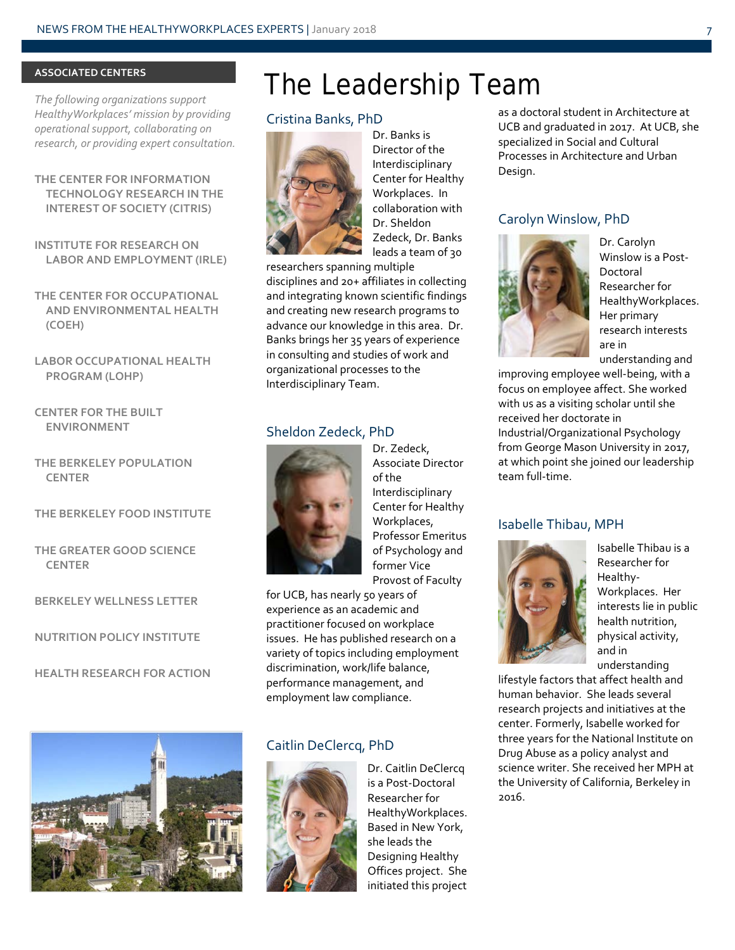#### **ASSOCIATED CENTERS**

*The following organizations support HealthyWorkplaces' mission by providing operational support, collaborating on research, or providing expert consultation.*

**THE CENTER FOR INFORMATION TECHNOLOGY RESEARCH IN THE INTEREST OF SOCIETY (CITRIS)**

**INSTITUTE FOR RESEARCH ON LABOR AND EMPLOYMENT (IRLE)**

**THE CENTER FOR OCCUPATIONAL AND ENVIRONMENTAL HEALTH (COEH)**

**LABOR OCCUPATIONAL HEALTH PROGRAM (LOHP)**

**CENTER FOR THE BUILT ENVIRONMENT**

**THE BERKELEY POPULATION CENTER**

#### **THE BERKELEY FOOD INSTITUTE**

**THE GREATER GOOD SCIENCE CENTER**

**BERKELEY WELLNESS LETTER**

**NUTRITION POLICY INSTITUTE**

**HEALTH RESEARCH FOR ACTION**



### The Leadership Team

#### Cristina Banks, PhD



Dr. Banks is Director of the Interdisciplinary Center for Healthy Workplaces. In collaboration with Dr. Sheldon Zedeck, Dr. Banks leads a team of 30

researchers spanning multiple disciplines and 20+ affiliates in collecting and integrating known scientific findings and creating new research programs to advance our knowledge in this area. Dr. Banks brings her 35 years of experience in consulting and studies of work and organizational processes to the Interdisciplinary Team.

#### Sheldon Zedeck, PhD



Dr. Zedeck, Associate Director of the Interdisciplinary Center for Healthy Workplaces, Professor Emeritus of Psychology and former Vice Provost of Faculty

for UCB, has nearly 50 years of experience as an academic and practitioner focused on workplace issues. He has published research on a variety of topics including employment discrimination, work/life balance, performance management, and employment law compliance.

#### Caitlin DeClercq, PhD



Dr. Caitlin DeClercq is a Post-Doctoral Researcher for HealthyWorkplaces. Based in New York, she leads the Designing Healthy Offices project. She initiated this project

as a doctoral student in Architecture at UCB and graduated in 2017. At UCB, she specialized in Social and Cultural Processes in Architecture and Urban Design.

#### Carolyn Winslow, PhD



Dr. Carolyn Winslow is a Post-Doctoral Researcher for HealthyWorkplaces. Her primary research interests are in understanding and

improving employee well-being, with a focus on employee affect. She worked with us as a visiting scholar until she received her doctorate in Industrial/Organizational Psychology from George Mason University in 2017, at which point she joined our leadership team full-time.

#### Isabelle Thibau, MPH



Isabelle Thibau is a Researcher for Healthy-Workplaces. Her interests lie in public health nutrition, physical activity, and in understanding

lifestyle factors that affect health and human behavior. She leads several research projects and initiatives at the center. Formerly, Isabelle worked for three years for the National Institute on Drug Abuse as a policy analyst and science writer. She received her MPH at the University of California, Berkeley in 2016.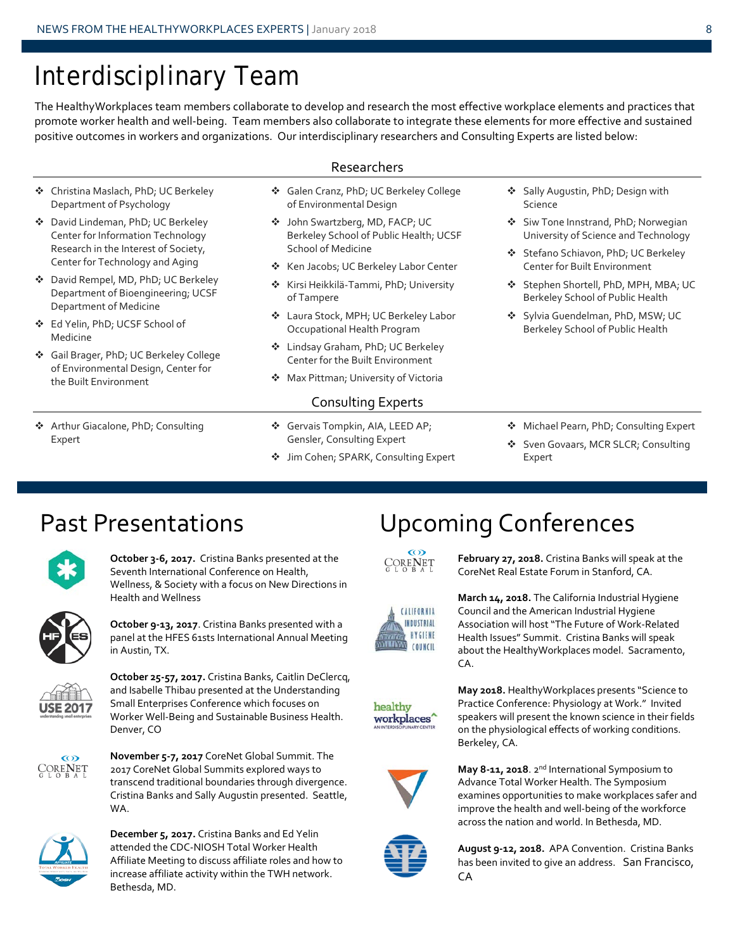### Interdisciplinary Team

 Christina Maslach, PhD; UC Berkeley Department of Psychology David Lindeman, PhD; UC Berkeley Center for Information Technology Research in the Interest of Society, Center for Technology and Aging David Rempel, MD, PhD; UC Berkeley Department of Bioengineering; UCSF

Department of Medicine Ed Yelin, PhD; UCSF School of

the Built Environment

 Gail Brager, PhD; UC Berkeley College of Environmental Design, Center for

◆ Arthur Giacalone, PhD; Consulting

Medicine

Expert

The HealthyWorkplaces team members collaborate to develop and research the most effective workplace elements and practices that promote worker health and well-being. Team members also collaborate to integrate these elements for more effective and sustained positive outcomes in workers and organizations. Our interdisciplinary researchers and Consulting Experts are listed below:

### Researchers

- Galen Cranz, PhD; UC Berkeley College of Environmental Design
	- John Swartzberg, MD, FACP; UC Berkeley School of Public Health; UCSF School of Medicine
	- ❖ Ken Jacobs; UC Berkeley Labor Center
	- **❖** Kirsi Heikkilä-Tammi, PhD; University of Tampere
	- Laura Stock, MPH; UC Berkeley Labor Occupational Health Program
	- Lindsay Graham, PhD; UC Berkeley Center for the Built Environment
	- **Max Pittman; University of Victoria**

#### Consulting Experts

- Gervais Tompkin, AIA, LEED AP; Gensler, Consulting Expert
- ❖ Jim Cohen; SPARK, Consulting Expert
- Sally Augustin, PhD; Design with Science
- ❖ Siw Tone Innstrand, PhD; Norwegian University of Science and Technology
- Stefano Schiavon, PhD; UC Berkeley Center for Built Environment
- Stephen Shortell, PhD, MPH, MBA; UC Berkeley School of Public Health
- Sylvia Guendelman, PhD, MSW; UC Berkeley School of Public Health
- ◆ Michael Pearn, PhD; Consulting Expert
- Sven Govaars, MCR SLCR; Consulting Expert



**October 3-6, 2017.** Cristina Banks presented at the Seventh International Conference on Health, Wellness, & Society with a focus on New Directions in Health and Wellness



**October 9-13, 2017**. Cristina Banks presented with a panel at the HFES 61sts International Annual Meeting in Austin, TX.



**October 25-57, 2017.** Cristina Banks, Caitlin DeClercq, and Isabelle Thibau presented at the Understanding Small Enterprises Conference which focuses on Worker Well-Being and Sustainable Business Health. Denver, CO



**November 5-7, 2017** CoreNet Global Summit. The 2017 CoreNet Global Summits explored ways to transcend traditional boundaries through divergence. Cristina Banks and Sally Augustin presented. Seattle, WA.



**December 5, 2017.** Cristina Banks and Ed Yelin attended the CDC-NIOSH Total Worker Health Affiliate Meeting to discuss affiliate roles and how to increase affiliate activity within the TWH network. Bethesda, MD.

### Past Presentations **Upcoming Conferences**



**February 27, 2018.** Cristina Banks will speak at the CoreNet Real Estate Forum in Stanford, CA.



**March 14, 2018.** The California Industrial Hygiene Council and the American Industrial Hygiene Association will host "The Future of Work-Related Health Issues" Summit. Cristina Banks will speak about the HealthyWorkplaces model. Sacramento, CA.



**May 2018.** HealthyWorkplaces presents "Science to Practice Conference: Physiology at Work." Invited speakers will present the known science in their fields on the physiological effects of working conditions. Berkeley, CA.



**May 8-11, 2018**. 2nd International Symposium to Advance Total Worker Health. The Symposium examines opportunities to make workplaces safer and improve the health and well-being of the workforce across the nation and world. In Bethesda, MD.



**August 9-12, 2018.** APA Convention. Cristina Banks has been invited to give an address. San Francisco, CA